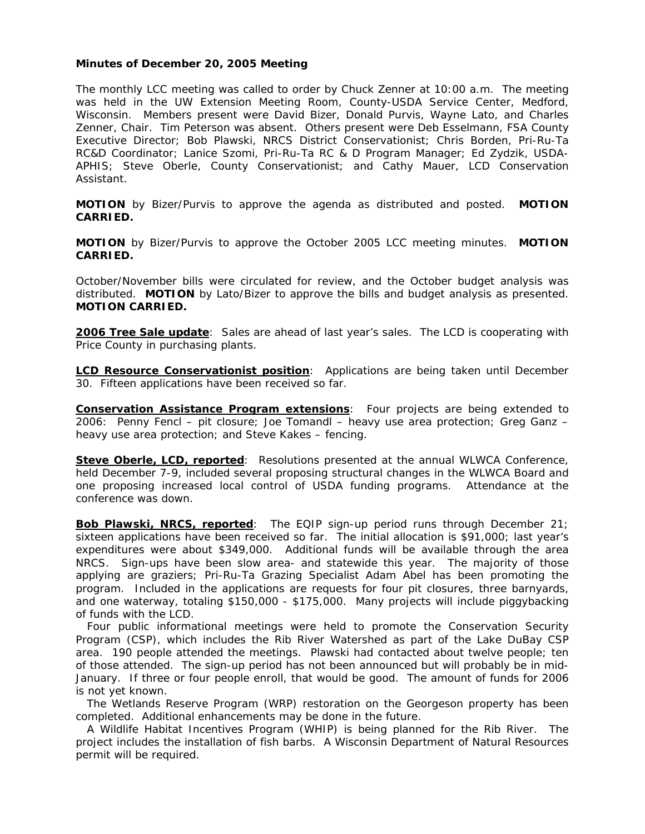## **Minutes of December 20, 2005 Meeting**

The monthly LCC meeting was called to order by Chuck Zenner at 10:00 a.m. The meeting was held in the UW Extension Meeting Room, County-USDA Service Center, Medford, Wisconsin. Members present were David Bizer, Donald Purvis, Wayne Lato, and Charles Zenner, Chair. Tim Peterson was absent. Others present were Deb Esselmann, FSA County Executive Director; Bob Plawski, NRCS District Conservationist; Chris Borden, Pri-Ru-Ta RC&D Coordinator; Lanice Szomi, Pri-Ru-Ta RC & D Program Manager; Ed Zydzik, USDA-APHIS; Steve Oberle, County Conservationist; and Cathy Mauer, LCD Conservation Assistant.

**MOTION** by Bizer/Purvis to approve the agenda as distributed and posted. **MOTION CARRIED.**

**MOTION** by Bizer/Purvis to approve the October 2005 LCC meeting minutes. **MOTION CARRIED.** 

October/November bills were circulated for review, and the October budget analysis was distributed. **MOTION** by Lato/Bizer to approve the bills and budget analysis as presented. **MOTION CARRIED.**

**2006 Tree Sale update**: Sales are ahead of last year's sales. The LCD is cooperating with Price County in purchasing plants.

**LCD Resource Conservationist position**: Applications are being taken until December 30. Fifteen applications have been received so far.

**Conservation Assistance Program extensions**: Four projects are being extended to 2006: Penny Fencl – pit closure; Joe Tomandl – heavy use area protection; Greg Ganz – heavy use area protection; and Steve Kakes – fencing.

**Steve Oberle, LCD, reported:** Resolutions presented at the annual WLWCA Conference, held December 7-9, included several proposing structural changes in the WLWCA Board and one proposing increased local control of USDA funding programs. Attendance at the conference was down.

**Bob Plawski, NRCS, reported**: The EQIP sign-up period runs through December 21; sixteen applications have been received so far. The initial allocation is \$91,000; last year's expenditures were about \$349,000. Additional funds will be available through the area NRCS. Sign-ups have been slow area- and statewide this year. The majority of those applying are graziers; Pri-Ru-Ta Grazing Specialist Adam Abel has been promoting the program. Included in the applications are requests for four pit closures, three barnyards, and one waterway, totaling \$150,000 - \$175,000. Many projects will include piggybacking of funds with the LCD.

 Four public informational meetings were held to promote the Conservation Security Program (CSP), which includes the Rib River Watershed as part of the Lake DuBay CSP area. 190 people attended the meetings. Plawski had contacted about twelve people; ten of those attended. The sign-up period has not been announced but will probably be in mid-January. If three or four people enroll, that would be good. The amount of funds for 2006 is not yet known.

 The Wetlands Reserve Program (WRP) restoration on the Georgeson property has been completed. Additional enhancements may be done in the future.

 A Wildlife Habitat Incentives Program (WHIP) is being planned for the Rib River. The project includes the installation of fish barbs. A Wisconsin Department of Natural Resources permit will be required.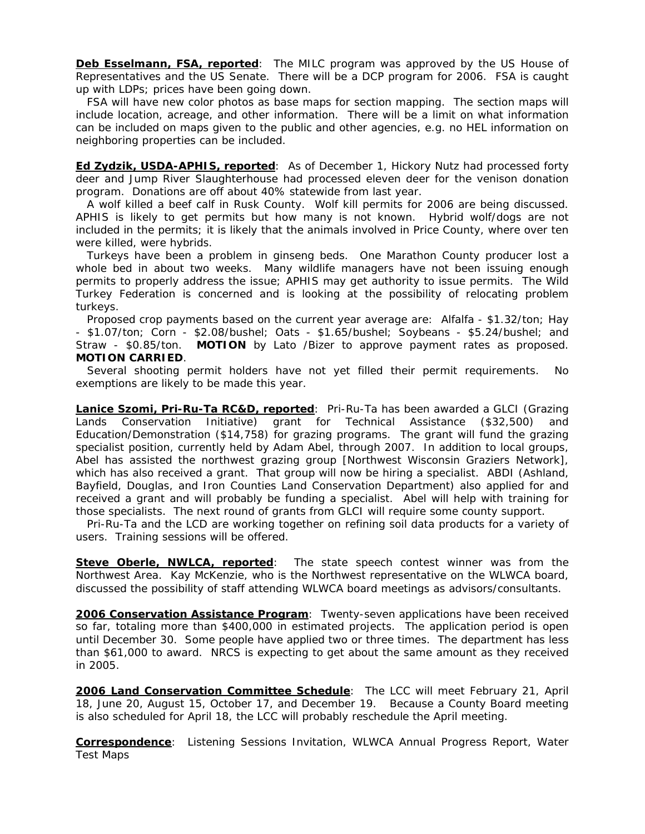**Deb Esselmann, FSA, reported**: The MILC program was approved by the US House of Representatives and the US Senate. There will be a DCP program for 2006. FSA is caught up with LDPs; prices have been going down.

 FSA will have new color photos as base maps for section mapping. The section maps will include location, acreage, and other information. There will be a limit on what information can be included on maps given to the public and other agencies, e.g. no HEL information on neighboring properties can be included.

**Ed Zydzik, USDA-APHIS, reported**: As of December 1, Hickory Nutz had processed forty deer and Jump River Slaughterhouse had processed eleven deer for the venison donation program. Donations are off about 40% statewide from last year.

 A wolf killed a beef calf in Rusk County. Wolf kill permits for 2006 are being discussed. APHIS is likely to get permits but how many is not known. Hybrid wolf/dogs are not included in the permits; it is likely that the animals involved in Price County, where over ten were killed, were hybrids.

 Turkeys have been a problem in ginseng beds. One Marathon County producer lost a whole bed in about two weeks. Many wildlife managers have not been issuing enough permits to properly address the issue; APHIS may get authority to issue permits. The Wild Turkey Federation is concerned and is looking at the possibility of relocating problem turkeys.

 Proposed crop payments based on the current year average are: Alfalfa - \$1.32/ton; Hay - \$1.07/ton; Corn - \$2.08/bushel; Oats - \$1.65/bushel; Soybeans - \$5.24/bushel; and Straw - \$0.85/ton. **MOTION** by Lato /Bizer to approve payment rates as proposed. **MOTION CARRIED**.

 Several shooting permit holders have not yet filled their permit requirements. No exemptions are likely to be made this year.

**Lanice Szomi, Pri-Ru-Ta RC&D, reported**: Pri-Ru-Ta has been awarded a GLCI (Grazing Lands Conservation Initiative) grant for Technical Assistance (\$32,500) and Education/Demonstration (\$14,758) for grazing programs. The grant will fund the grazing specialist position, currently held by Adam Abel, through 2007. In addition to local groups, Abel has assisted the northwest grazing group [Northwest Wisconsin Graziers Network], which has also received a grant. That group will now be hiring a specialist. ABDI (Ashland, Bayfield, Douglas, and Iron Counties Land Conservation Department) also applied for and received a grant and will probably be funding a specialist. Abel will help with training for those specialists. The next round of grants from GLCI will require some county support.

 Pri-Ru-Ta and the LCD are working together on refining soil data products for a variety of users. Training sessions will be offered.

**Steve Oberle, NWLCA, reported**: The state speech contest winner was from the Northwest Area. Kay McKenzie, who is the Northwest representative on the WLWCA board, discussed the possibility of staff attending WLWCA board meetings as advisors/consultants.

**2006 Conservation Assistance Program**: Twenty-seven applications have been received so far, totaling more than \$400,000 in estimated projects. The application period is open until December 30. Some people have applied two or three times. The department has less than \$61,000 to award. NRCS is expecting to get about the same amount as they received in 2005.

**2006 Land Conservation Committee Schedule**: The LCC will meet February 21, April 18, June 20, August 15, October 17, and December 19. Because a County Board meeting is also scheduled for April 18, the LCC will probably reschedule the April meeting.

**Correspondence**: Listening Sessions Invitation, WLWCA Annual Progress Report, Water Test Maps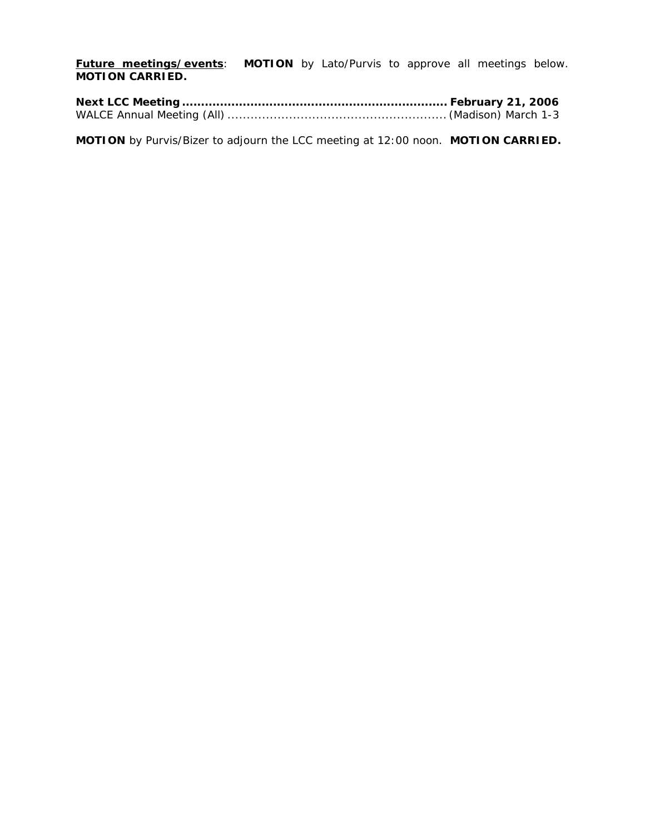**Future meetings/events**: **MOTION** by Lato/Purvis to approve all meetings below. **MOTION CARRIED.**

**MOTION** by Purvis/Bizer to adjourn the LCC meeting at 12:00 noon. **MOTION CARRIED.**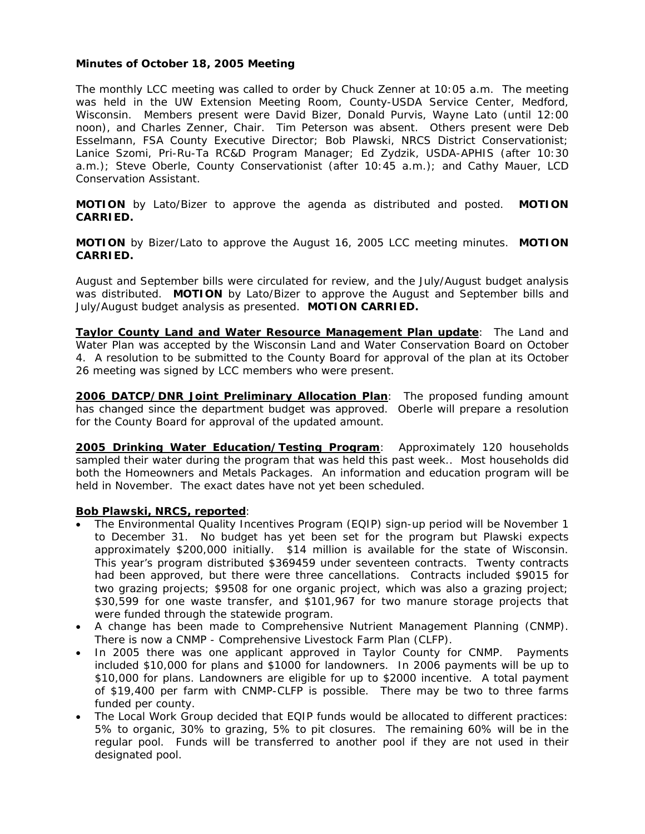# **Minutes of October 18, 2005 Meeting**

The monthly LCC meeting was called to order by Chuck Zenner at 10:05 a.m. The meeting was held in the UW Extension Meeting Room, County-USDA Service Center, Medford, Wisconsin. Members present were David Bizer, Donald Purvis, Wayne Lato (until 12:00 noon), and Charles Zenner, Chair. Tim Peterson was absent. Others present were Deb Esselmann, FSA County Executive Director; Bob Plawski, NRCS District Conservationist; Lanice Szomi, Pri-Ru-Ta RC&D Program Manager; Ed Zydzik, USDA-APHIS (after 10:30 a.m.); Steve Oberle, County Conservationist (after 10:45 a.m.); and Cathy Mauer, LCD Conservation Assistant.

**MOTION** by Lato/Bizer to approve the agenda as distributed and posted. **MOTION CARRIED.**

**MOTION** by Bizer/Lato to approve the August 16, 2005 LCC meeting minutes. **MOTION CARRIED.** 

August and September bills were circulated for review, and the July/August budget analysis was distributed. **MOTION** by Lato/Bizer to approve the August and September bills and July/August budget analysis as presented. **MOTION CARRIED.**

**Taylor County Land and Water Resource Management Plan update**: The Land and Water Plan was accepted by the Wisconsin Land and Water Conservation Board on October 4. A resolution to be submitted to the County Board for approval of the plan at its October 26 meeting was signed by LCC members who were present.

**2006 DATCP/DNR Joint Preliminary Allocation Plan**: The proposed funding amount has changed since the department budget was approved. Oberle will prepare a resolution for the County Board for approval of the updated amount.

**2005 Drinking Water Education/Testing Program**: Approximately 120 households sampled their water during the program that was held this past week.. Most households did both the Homeowners and Metals Packages. An information and education program will be held in November. The exact dates have not yet been scheduled.

### **Bob Plawski, NRCS, reported**:

- The Environmental Quality Incentives Program (EQIP) sign-up period will be November 1 to December 31. No budget has yet been set for the program but Plawski expects approximately \$200,000 initially. \$14 million is available for the state of Wisconsin. This year's program distributed \$369459 under seventeen contracts. Twenty contracts had been approved, but there were three cancellations. Contracts included \$9015 for two grazing projects; \$9508 for one organic project, which was also a grazing project; \$30,599 for one waste transfer, and \$101,967 for two manure storage projects that were funded through the statewide program.
- A change has been made to Comprehensive Nutrient Management Planning (CNMP). There is now a CNMP - Comprehensive Livestock Farm Plan (CLFP).
- In 2005 there was one applicant approved in Taylor County for CNMP. Payments included \$10,000 for plans and \$1000 for landowners. In 2006 payments will be up to \$10,000 for plans. Landowners are eligible for up to \$2000 incentive. A total payment of \$19,400 per farm with CNMP-CLFP is possible. There may be two to three farms funded per county.
- The Local Work Group decided that EQIP funds would be allocated to different practices: 5% to organic, 30% to grazing, 5% to pit closures. The remaining 60% will be in the regular pool. Funds will be transferred to another pool if they are not used in their designated pool.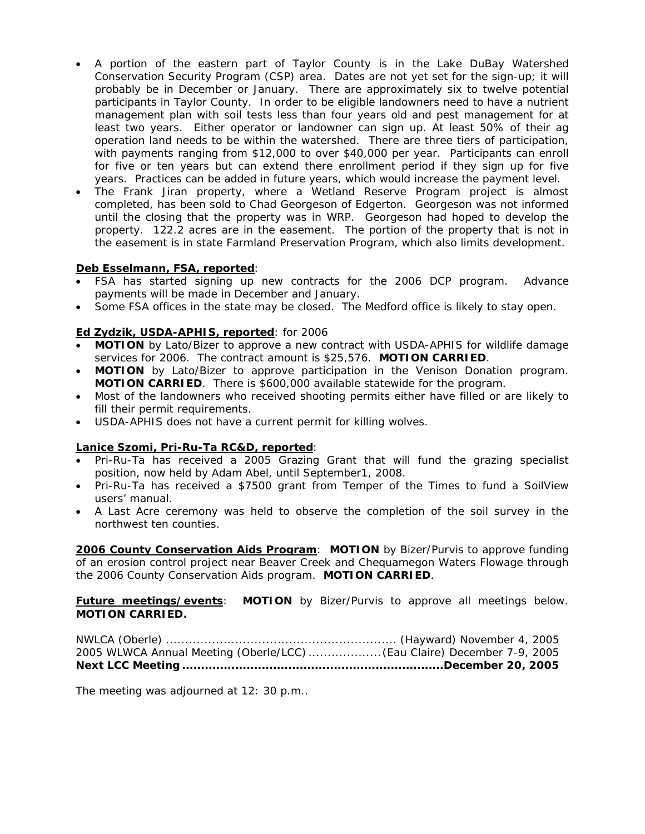- A portion of the eastern part of Taylor County is in the Lake DuBay Watershed Conservation Security Program (CSP) area. Dates are not yet set for the sign-up; it will probably be in December or January. There are approximately six to twelve potential participants in Taylor County. In order to be eligible landowners need to have a nutrient management plan with soil tests less than four years old and pest management for at least two years. Either operator or landowner can sign up. At least 50% of their ag operation land needs to be within the watershed. There are three tiers of participation, with payments ranging from \$12,000 to over \$40,000 per year. Participants can enroll for five or ten years but can extend there enrollment period if they sign up for five years. Practices can be added in future years, which would increase the payment level.
- The Frank Jiran property, where a Wetland Reserve Program project is almost completed, has been sold to Chad Georgeson of Edgerton. Georgeson was not informed until the closing that the property was in WRP. Georgeson had hoped to develop the property. 122.2 acres are in the easement. The portion of the property that is not in the easement is in state Farmland Preservation Program, which also limits development.

# **Deb Esselmann, FSA, reported**:

- FSA has started signing up new contracts for the 2006 DCP program. Advance payments will be made in December and January.
- Some FSA offices in the state may be closed. The Medford office is likely to stay open.

# **Ed Zydzik, USDA-APHIS, reported**: for 2006

- **MOTION** by Lato/Bizer to approve a new contract with USDA-APHIS for wildlife damage services for 2006. The contract amount is \$25,576. **MOTION CARRIED**.
- **MOTION** by Lato/Bizer to approve participation in the Venison Donation program. **MOTION CARRIED**. There is \$600,000 available statewide for the program.
- Most of the landowners who received shooting permits either have filled or are likely to fill their permit requirements.
- USDA-APHIS does not have a current permit for killing wolves.

# **Lanice Szomi, Pri-Ru-Ta RC&D, reported**:

- Pri-Ru-Ta has received a 2005 Grazing Grant that will fund the grazing specialist position, now held by Adam Abel, until September1, 2008.
- Pri-Ru-Ta has received a \$7500 grant from Temper of the Times to fund a SoilView users' manual.
- A Last Acre ceremony was held to observe the completion of the soil survey in the northwest ten counties.

**2006 County Conservation Aids Program**: **MOTION** by Bizer/Purvis to approve funding of an erosion control project near Beaver Creek and Chequamegon Waters Flowage through the 2006 County Conservation Aids program. **MOTION CARRIED**.

**Future meetings/events**: **MOTION** by Bizer/Purvis to approve all meetings below. **MOTION CARRIED.**

NWLCA (Oberle) ............................................................ (Hayward) November 4, 2005 2005 WLWCA Annual Meeting (Oberle/LCC) ...................(Eau Claire) December 7-9, 2005 **Next LCC Meeting .....................................................................December 20, 2005** 

The meeting was adjourned at 12: 30 p.m..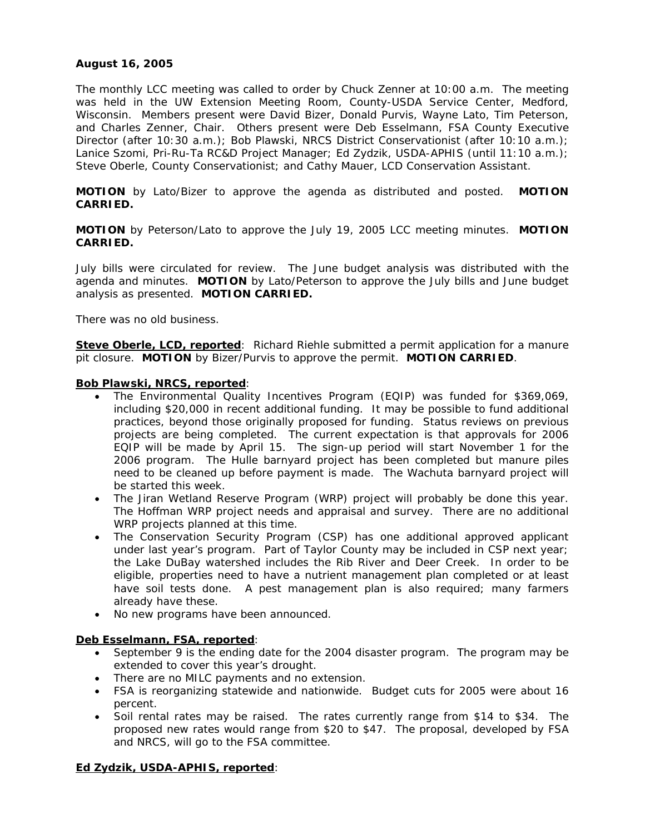# **August 16, 2005**

The monthly LCC meeting was called to order by Chuck Zenner at 10:00 a.m. The meeting was held in the UW Extension Meeting Room, County-USDA Service Center, Medford, Wisconsin. Members present were David Bizer, Donald Purvis, Wayne Lato, Tim Peterson, and Charles Zenner, Chair. Others present were Deb Esselmann, FSA County Executive Director (after 10:30 a.m.); Bob Plawski, NRCS District Conservationist (after 10:10 a.m.); Lanice Szomi, Pri-Ru-Ta RC&D Project Manager; Ed Zydzik, USDA-APHIS (until 11:10 a.m.); Steve Oberle, County Conservationist; and Cathy Mauer, LCD Conservation Assistant.

**MOTION** by Lato/Bizer to approve the agenda as distributed and posted. **MOTION CARRIED.**

**MOTION** by Peterson/Lato to approve the July 19, 2005 LCC meeting minutes. **MOTION CARRIED.** 

July bills were circulated for review. The June budget analysis was distributed with the agenda and minutes. **MOTION** by Lato/Peterson to approve the July bills and June budget analysis as presented. **MOTION CARRIED.**

There was no old business.

**Steve Oberle, LCD, reported**: Richard Riehle submitted a permit application for a manure pit closure. **MOTION** by Bizer/Purvis to approve the permit. **MOTION CARRIED**.

### **Bob Plawski, NRCS, reported**:

- The Environmental Quality Incentives Program (EQIP) was funded for \$369,069, including \$20,000 in recent additional funding. It may be possible to fund additional practices, beyond those originally proposed for funding. Status reviews on previous projects are being completed. The current expectation is that approvals for 2006 EQIP will be made by April 15. The sign-up period will start November 1 for the 2006 program. The Hulle barnyard project has been completed but manure piles need to be cleaned up before payment is made. The Wachuta barnyard project will be started this week.
- The Jiran Wetland Reserve Program (WRP) project will probably be done this year. The Hoffman WRP project needs and appraisal and survey. There are no additional WRP projects planned at this time.
- The Conservation Security Program (CSP) has one additional approved applicant under last year's program. Part of Taylor County may be included in CSP next year; the Lake DuBay watershed includes the Rib River and Deer Creek. In order to be eligible, properties need to have a nutrient management plan completed or at least have soil tests done. A pest management plan is also required; many farmers already have these.
- No new programs have been announced.

## **Deb Esselmann, FSA, reported**:

- September 9 is the ending date for the 2004 disaster program. The program may be extended to cover this year's drought.
- There are no MILC payments and no extension.
- FSA is reorganizing statewide and nationwide. Budget cuts for 2005 were about 16 percent.
- Soil rental rates may be raised. The rates currently range from \$14 to \$34. The proposed new rates would range from \$20 to \$47. The proposal, developed by FSA and NRCS, will go to the FSA committee.

# **Ed Zydzik, USDA-APHIS, reported**: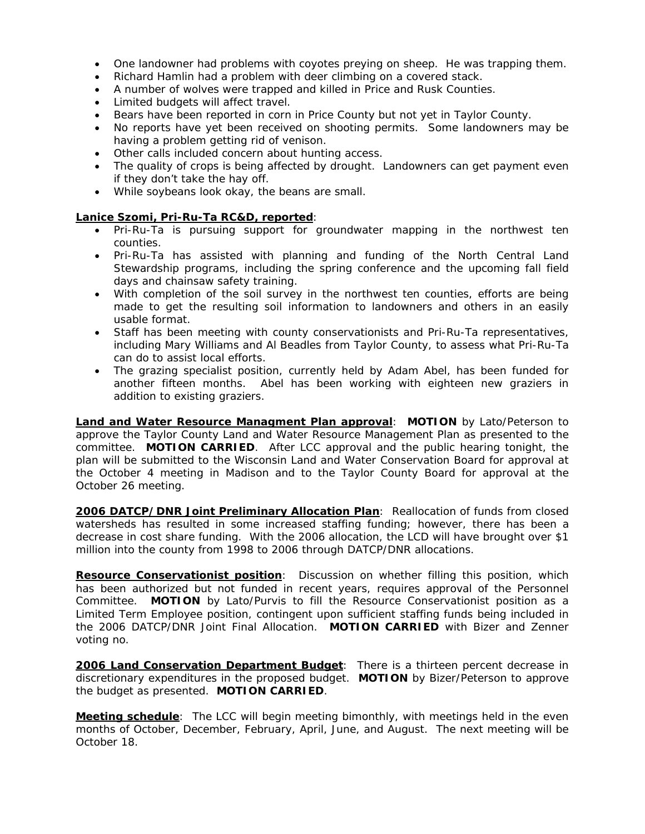- One landowner had problems with coyotes preying on sheep. He was trapping them.
- Richard Hamlin had a problem with deer climbing on a covered stack.
- A number of wolves were trapped and killed in Price and Rusk Counties.
- Limited budgets will affect travel.
- Bears have been reported in corn in Price County but not yet in Taylor County.
- No reports have yet been received on shooting permits. Some landowners may be having a problem getting rid of venison.
- Other calls included concern about hunting access.
- The quality of crops is being affected by drought. Landowners can get payment even if they don't take the hay off.
- While soybeans look okay, the beans are small.

# **Lanice Szomi, Pri-Ru-Ta RC&D, reported**:

- Pri-Ru-Ta is pursuing support for groundwater mapping in the northwest ten counties.
- Pri-Ru-Ta has assisted with planning and funding of the North Central Land Stewardship programs, including the spring conference and the upcoming fall field days and chainsaw safety training.
- With completion of the soil survey in the northwest ten counties, efforts are being made to get the resulting soil information to landowners and others in an easily usable format.
- Staff has been meeting with county conservationists and Pri-Ru-Ta representatives, including Mary Williams and Al Beadles from Taylor County, to assess what Pri-Ru-Ta can do to assist local efforts.
- The grazing specialist position, currently held by Adam Abel, has been funded for another fifteen months. Abel has been working with eighteen new graziers in addition to existing graziers.

**Land and Water Resource Managment Plan approval**: **MOTION** by Lato/Peterson to approve the Taylor County Land and Water Resource Management Plan as presented to the committee. **MOTION CARRIED**. After LCC approval and the public hearing tonight, the plan will be submitted to the Wisconsin Land and Water Conservation Board for approval at the October 4 meeting in Madison and to the Taylor County Board for approval at the October 26 meeting.

**2006 DATCP/DNR Joint Preliminary Allocation Plan**: Reallocation of funds from closed watersheds has resulted in some increased staffing funding; however, there has been a decrease in cost share funding. With the 2006 allocation, the LCD will have brought over \$1 million into the county from 1998 to 2006 through DATCP/DNR allocations.

**Resource Conservationist position**: Discussion on whether filling this position, which has been authorized but not funded in recent years, requires approval of the Personnel Committee. **MOTION** by Lato/Purvis to fill the Resource Conservationist position as a Limited Term Employee position, contingent upon sufficient staffing funds being included in the 2006 DATCP/DNR Joint Final Allocation. **MOTION CARRIED** with Bizer and Zenner voting no.

**2006 Land Conservation Department Budget**: There is a thirteen percent decrease in discretionary expenditures in the proposed budget. **MOTION** by Bizer/Peterson to approve the budget as presented. **MOTION CARRIED**.

**Meeting schedule**: The LCC will begin meeting bimonthly, with meetings held in the even months of October, December, February, April, June, and August. The next meeting will be October 18.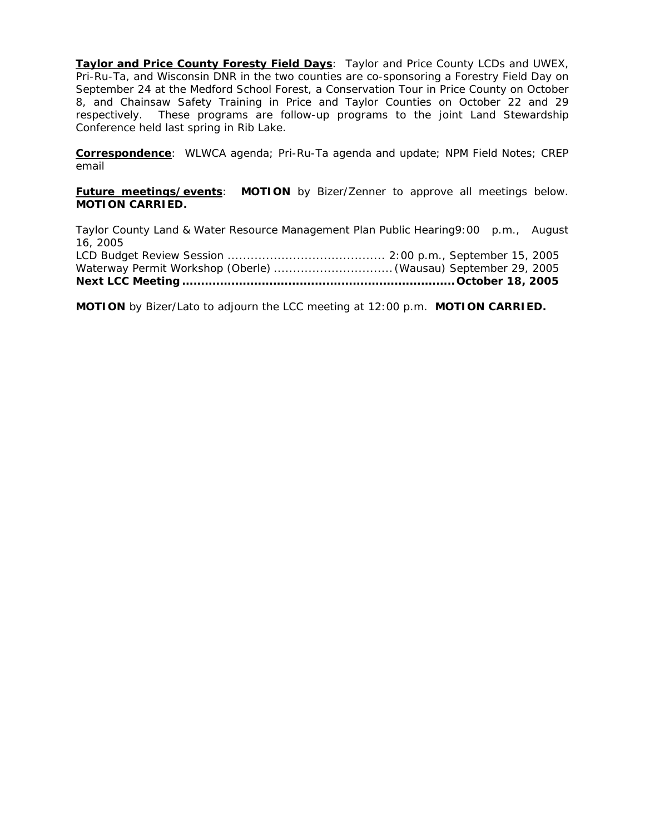**Taylor and Price County Foresty Field Days:** Taylor and Price County LCDs and UWEX, Pri-Ru-Ta, and Wisconsin DNR in the two counties are co-sponsoring a Forestry Field Day on September 24 at the Medford School Forest, a Conservation Tour in Price County on October 8, and Chainsaw Safety Training in Price and Taylor Counties on October 22 and 29 respectively. These programs are follow-up programs to the joint Land Stewardship Conference held last spring in Rib Lake.

**Correspondence**: WLWCA agenda; Pri-Ru-Ta agenda and update; NPM Field Notes; CREP email

**Future meetings/events: MOTION** by Bizer/Zenner to approve all meetings below. **MOTION CARRIED.**

Taylor County Land & Water Resource Management Plan Public Hearing9:00 p.m., August 16, 2005 LCD Budget Review Session ......................................... 2:00 p.m., September 15, 2005 Waterway Permit Workshop (Oberle) ............................... (Wausau) September 29, 2005 **Next LCC Meeting ........................................................................October 18, 2005** 

**MOTION** by Bizer/Lato to adjourn the LCC meeting at 12:00 p.m. **MOTION CARRIED.**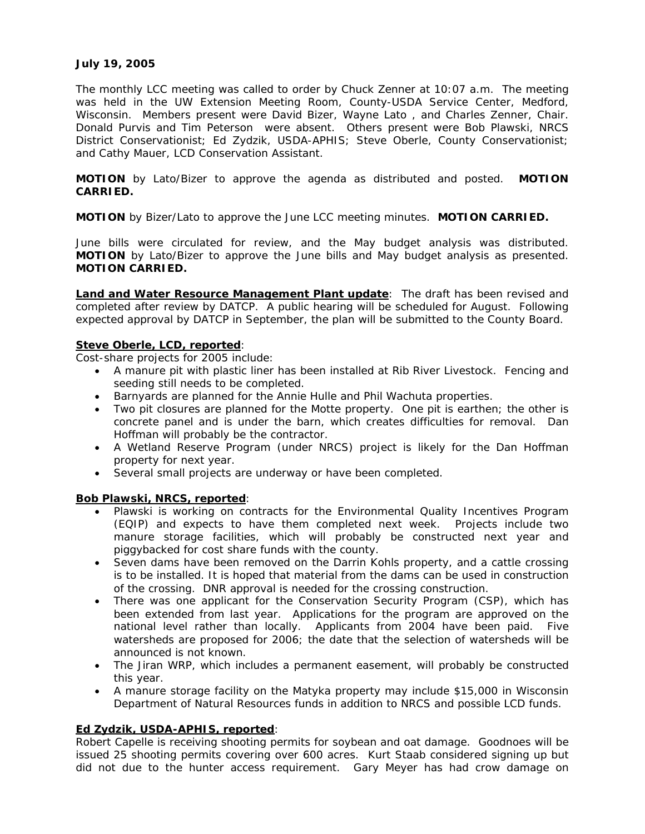# **July 19, 2005**

The monthly LCC meeting was called to order by Chuck Zenner at 10:07 a.m. The meeting was held in the UW Extension Meeting Room, County-USDA Service Center, Medford, Wisconsin. Members present were David Bizer, Wayne Lato , and Charles Zenner, Chair. Donald Purvis and Tim Peterson were absent. Others present were Bob Plawski, NRCS District Conservationist; Ed Zydzik, USDA-APHIS; Steve Oberle, County Conservationist; and Cathy Mauer, LCD Conservation Assistant.

**MOTION** by Lato/Bizer to approve the agenda as distributed and posted. **MOTION CARRIED.**

**MOTION** by Bizer/Lato to approve the June LCC meeting minutes. **MOTION CARRIED.** 

June bills were circulated for review, and the May budget analysis was distributed. **MOTION** by Lato/Bizer to approve the June bills and May budget analysis as presented. **MOTION CARRIED.**

**Land and Water Resource Management Plant update**: The draft has been revised and completed after review by DATCP. A public hearing will be scheduled for August. Following expected approval by DATCP in September, the plan will be submitted to the County Board.

# **Steve Oberle, LCD, reported**:

Cost-share projects for 2005 include:

- A manure pit with plastic liner has been installed at Rib River Livestock. Fencing and seeding still needs to be completed.
- Barnyards are planned for the Annie Hulle and Phil Wachuta properties.
- Two pit closures are planned for the Motte property. One pit is earthen; the other is concrete panel and is under the barn, which creates difficulties for removal. Dan Hoffman will probably be the contractor.
- A Wetland Reserve Program (under NRCS) project is likely for the Dan Hoffman property for next year.
- Several small projects are underway or have been completed.

# **Bob Plawski, NRCS, reported**:

- Plawski is working on contracts for the Environmental Quality Incentives Program (EQIP) and expects to have them completed next week. Projects include two manure storage facilities, which will probably be constructed next year and piggybacked for cost share funds with the county.
- Seven dams have been removed on the Darrin Kohls property, and a cattle crossing is to be installed. It is hoped that material from the dams can be used in construction of the crossing. DNR approval is needed for the crossing construction.
- There was one applicant for the Conservation Security Program (CSP), which has been extended from last year. Applications for the program are approved on the national level rather than locally. Applicants from 2004 have been paid. Five watersheds are proposed for 2006; the date that the selection of watersheds will be announced is not known.
- The Jiran WRP, which includes a permanent easement, will probably be constructed this year.
- A manure storage facility on the Matyka property may include \$15,000 in Wisconsin Department of Natural Resources funds in addition to NRCS and possible LCD funds.

# **Ed Zydzik, USDA-APHIS, reported**:

Robert Capelle is receiving shooting permits for soybean and oat damage. Goodnoes will be issued 25 shooting permits covering over 600 acres. Kurt Staab considered signing up but did not due to the hunter access requirement. Gary Meyer has had crow damage on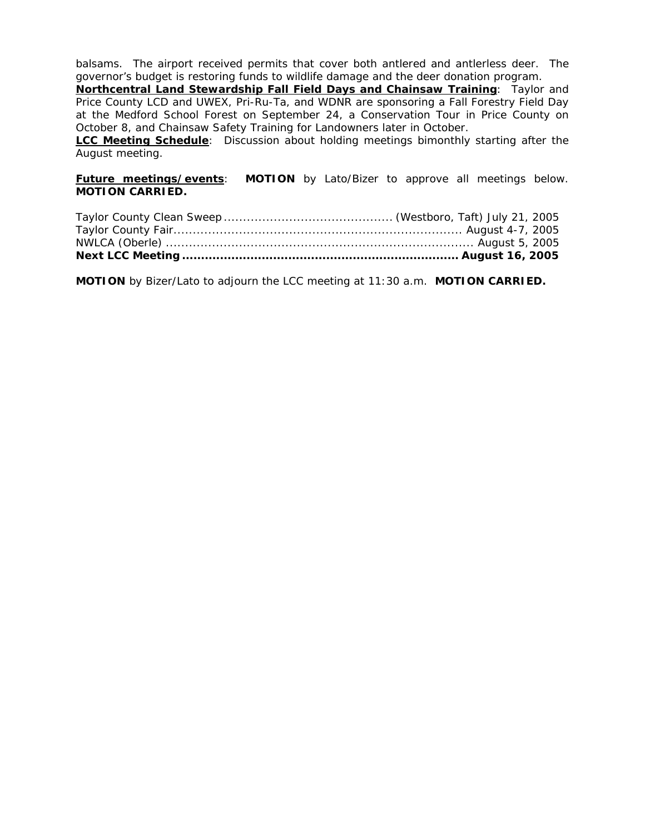balsams. The airport received permits that cover both antlered and antlerless deer. The governor's budget is restoring funds to wildlife damage and the deer donation program.

**Northcentral Land Stewardship Fall Field Days and Chainsaw Training**: Taylor and Price County LCD and UWEX, Pri-Ru-Ta, and WDNR are sponsoring a Fall Forestry Field Day at the Medford School Forest on September 24, a Conservation Tour in Price County on October 8, and Chainsaw Safety Training for Landowners later in October.

**LCC Meeting Schedule**: Discussion about holding meetings bimonthly starting after the August meeting.

## **Future meetings/events**: **MOTION** by Lato/Bizer to approve all meetings below. **MOTION CARRIED.**

**MOTION** by Bizer/Lato to adjourn the LCC meeting at 11:30 a.m. **MOTION CARRIED.**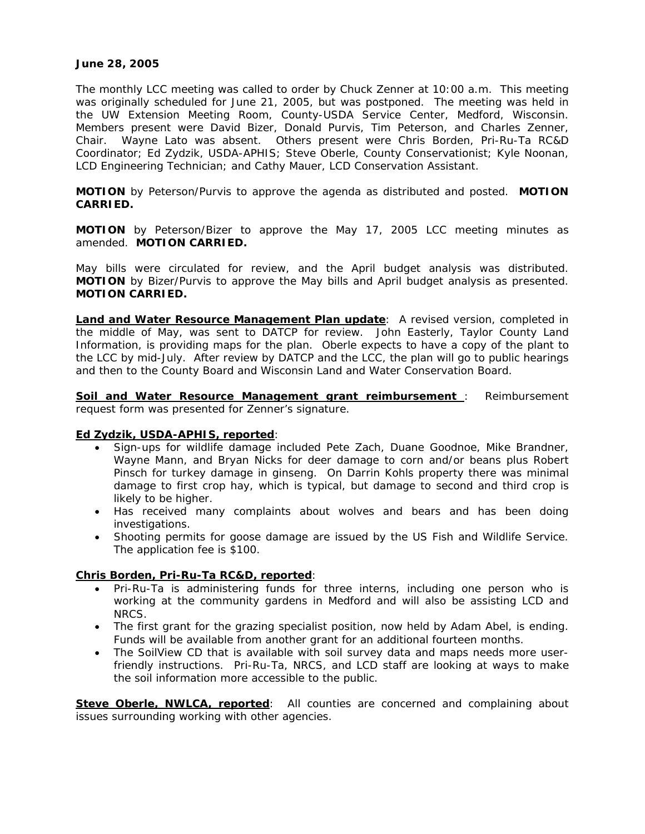## **June 28, 2005**

The monthly LCC meeting was called to order by Chuck Zenner at 10:00 a.m. This meeting was originally scheduled for June 21, 2005, but was postponed. The meeting was held in the UW Extension Meeting Room, County-USDA Service Center, Medford, Wisconsin. Members present were David Bizer, Donald Purvis, Tim Peterson, and Charles Zenner, Chair. Wayne Lato was absent. Others present were Chris Borden, Pri-Ru-Ta RC&D Coordinator; Ed Zydzik, USDA-APHIS; Steve Oberle, County Conservationist; Kyle Noonan, LCD Engineering Technician; and Cathy Mauer, LCD Conservation Assistant.

**MOTION** by Peterson/Purvis to approve the agenda as distributed and posted. **MOTION CARRIED.**

**MOTION** by Peterson/Bizer to approve the May 17, 2005 LCC meeting minutes as amended. **MOTION CARRIED.** 

May bills were circulated for review, and the April budget analysis was distributed. **MOTION** by Bizer/Purvis to approve the May bills and April budget analysis as presented. **MOTION CARRIED.**

**Land and Water Resource Management Plan update**: A revised version, completed in the middle of May, was sent to DATCP for review. John Easterly, Taylor County Land Information, is providing maps for the plan. Oberle expects to have a copy of the plant to the LCC by mid-July. After review by DATCP and the LCC, the plan will go to public hearings and then to the County Board and Wisconsin Land and Water Conservation Board.

**Soil and Water Resource Management grant reimbursement** : Reimbursement request form was presented for Zenner's signature.

### **Ed Zydzik, USDA-APHIS, reported**:

- Sign-ups for wildlife damage included Pete Zach, Duane Goodnoe, Mike Brandner, Wayne Mann, and Bryan Nicks for deer damage to corn and/or beans plus Robert Pinsch for turkey damage in ginseng. On Darrin Kohls property there was minimal damage to first crop hay, which is typical, but damage to second and third crop is likely to be higher.
- Has received many complaints about wolves and bears and has been doing investigations.
- Shooting permits for goose damage are issued by the US Fish and Wildlife Service. The application fee is \$100.

### **Chris Borden, Pri-Ru-Ta RC&D, reported**:

- Pri-Ru-Ta is administering funds for three interns, including one person who is working at the community gardens in Medford and will also be assisting LCD and NRCS.
- The first grant for the grazing specialist position, now held by Adam Abel, is ending. Funds will be available from another grant for an additional fourteen months.
- The SoilView CD that is available with soil survey data and maps needs more userfriendly instructions. Pri-Ru-Ta, NRCS, and LCD staff are looking at ways to make the soil information more accessible to the public.

**Steve Oberle, NWLCA, reported:** All counties are concerned and complaining about issues surrounding working with other agencies.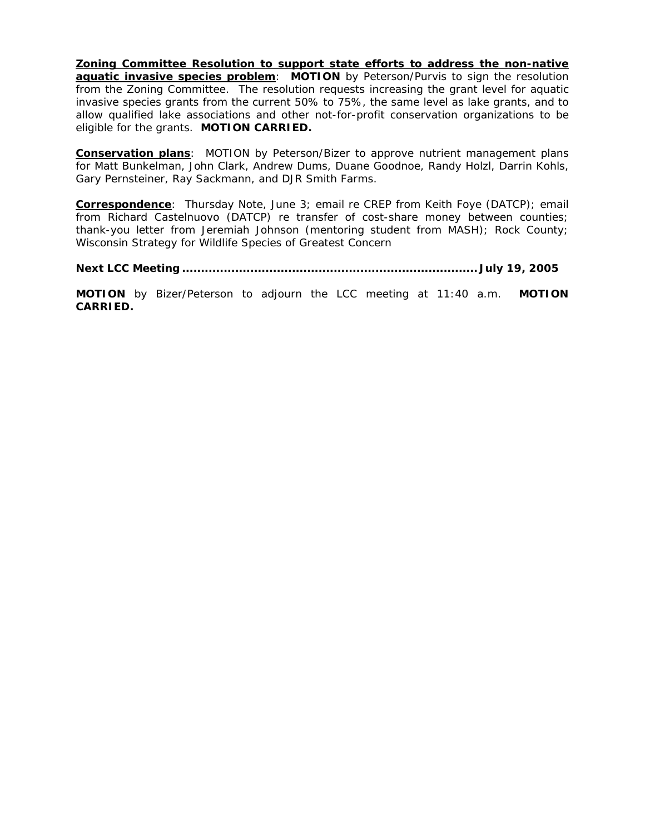**Zoning Committee Resolution to support state efforts to address the non-native aquatic invasive species problem: MOTION** by Peterson/Purvis to sign the resolution from the Zoning Committee. The resolution requests increasing the grant level for aquatic invasive species grants from the current 50% to 75%, the same level as lake grants, and to allow qualified lake associations and other not-for-profit conservation organizations to be eligible for the grants. **MOTION CARRIED.**

**Conservation plans**: MOTION by Peterson/Bizer to approve nutrient management plans for Matt Bunkelman, John Clark, Andrew Dums, Duane Goodnoe, Randy Holzl, Darrin Kohls, Gary Pernsteiner, Ray Sackmann, and DJR Smith Farms.

**Correspondence**: *Thursday Note*, June 3; email re CREP from Keith Foye (DATCP); email from Richard Castelnuovo (DATCP) re transfer of cost-share money between counties; thank-you letter from Jeremiah Johnson (mentoring student from MASH); Rock County; Wisconsin Strategy for Wildlife Species of Greatest Concern

**Next LCC Meeting .............................................................................. July 19, 2005** 

**MOTION** by Bizer/Peterson to adjourn the LCC meeting at 11:40 a.m. **MOTION CARRIED.**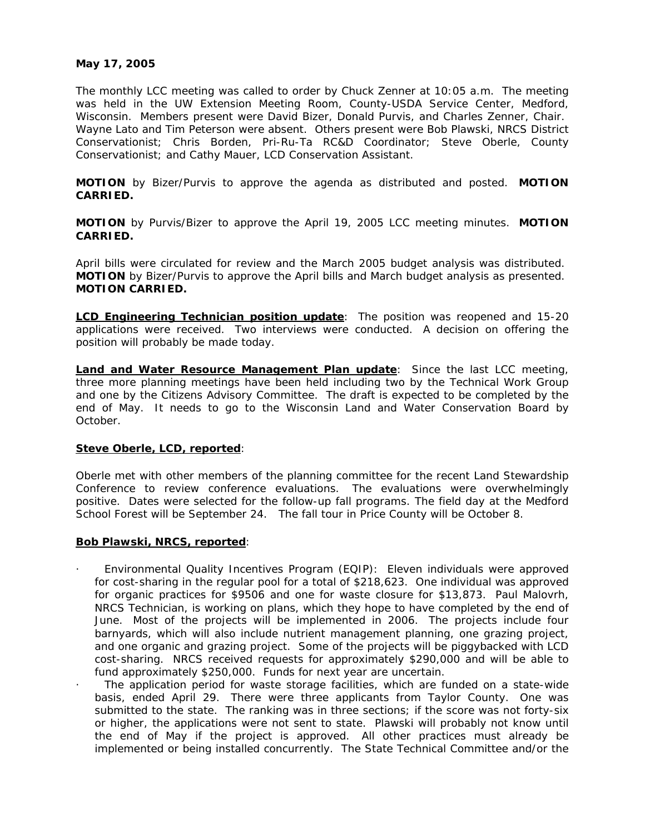## **May 17, 2005**

The monthly LCC meeting was called to order by Chuck Zenner at 10:05 a.m. The meeting was held in the UW Extension Meeting Room, County-USDA Service Center, Medford, Wisconsin. Members present were David Bizer, Donald Purvis, and Charles Zenner, Chair. Wayne Lato and Tim Peterson were absent. Others present were Bob Plawski, NRCS District Conservationist; Chris Borden, Pri-Ru-Ta RC&D Coordinator; Steve Oberle, County Conservationist; and Cathy Mauer, LCD Conservation Assistant.

**MOTION** by Bizer/Purvis to approve the agenda as distributed and posted. **MOTION CARRIED.**

**MOTION** by Purvis/Bizer to approve the April 19, 2005 LCC meeting minutes. **MOTION CARRIED.**

April bills were circulated for review and the March 2005 budget analysis was distributed. **MOTION** by Bizer/Purvis to approve the April bills and March budget analysis as presented. **MOTION CARRIED.**

**LCD Engineering Technician position update**: The position was reopened and 15-20 applications were received. Two interviews were conducted. A decision on offering the position will probably be made today.

**Land and Water Resource Management Plan update**: Since the last LCC meeting, three more planning meetings have been held including two by the Technical Work Group and one by the Citizens Advisory Committee. The draft is expected to be completed by the end of May. It needs to go to the Wisconsin Land and Water Conservation Board by October.

### **Steve Oberle, LCD, reported**:

Oberle met with other members of the planning committee for the recent Land Stewardship Conference to review conference evaluations. The evaluations were overwhelmingly positive. Dates were selected for the follow-up fall programs. The field day at the Medford School Forest will be September 24. The fall tour in Price County will be October 8.

### **Bob Plawski, NRCS, reported**:

- · Environmental Quality Incentives Program (EQIP): Eleven individuals were approved for cost-sharing in the regular pool for a total of \$218,623. One individual was approved for organic practices for \$9506 and one for waste closure for \$13,873. Paul Malovrh, NRCS Technician, is working on plans, which they hope to have completed by the end of June. Most of the projects will be implemented in 2006. The projects include four barnyards, which will also include nutrient management planning, one grazing project, and one organic and grazing project. Some of the projects will be piggybacked with LCD cost-sharing. NRCS received requests for approximately \$290,000 and will be able to fund approximately \$250,000. Funds for next year are uncertain.
- The application period for waste storage facilities, which are funded on a state-wide basis, ended April 29. There were three applicants from Taylor County. One was submitted to the state. The ranking was in three sections; if the score was not forty-six or higher, the applications were not sent to state. Plawski will probably not know until the end of May if the project is approved. All other practices must already be implemented or being installed concurrently. The State Technical Committee and/or the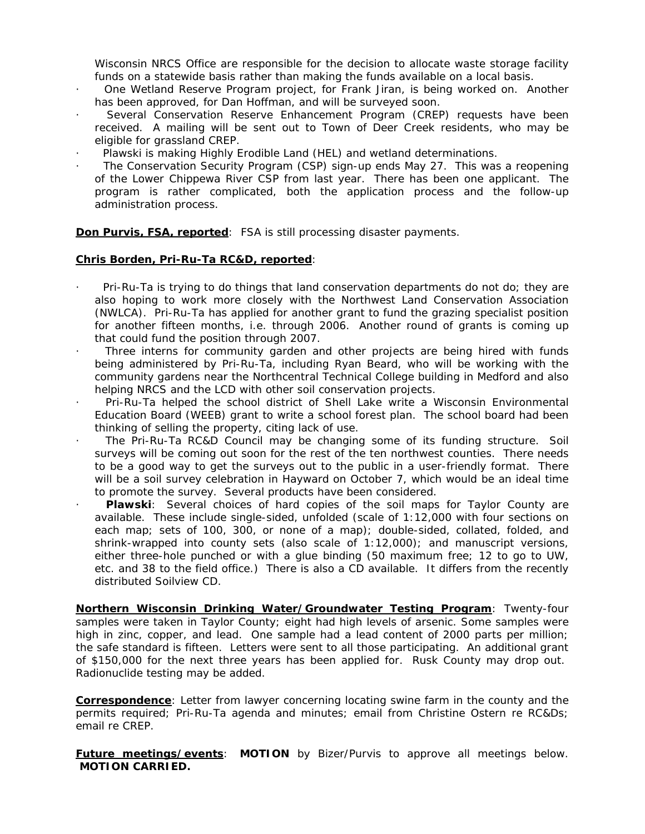Wisconsin NRCS Office are responsible for the decision to allocate waste storage facility funds on a statewide basis rather than making the funds available on a local basis.

- · One Wetland Reserve Program project, for Frank Jiran, is being worked on. Another has been approved, for Dan Hoffman, and will be surveyed soon.
- Several Conservation Reserve Enhancement Program (CREP) requests have been received. A mailing will be sent out to Town of Deer Creek residents, who may be eligible for grassland CREP.
- Plawski is making Highly Erodible Land (HEL) and wetland determinations.
- The Conservation Security Program (CSP) sign-up ends May 27. This was a reopening of the Lower Chippewa River CSP from last year. There has been one applicant. The program is rather complicated, both the application process and the follow-up administration process.

**Don Purvis, FSA, reported:** FSA is still processing disaster payments.

## **Chris Borden, Pri-Ru-Ta RC&D, reported**:

- Pri-Ru-Ta is trying to do things that land conservation departments do not do; they are also hoping to work more closely with the Northwest Land Conservation Association (NWLCA). Pri-Ru-Ta has applied for another grant to fund the grazing specialist position for another fifteen months, i.e. through 2006. Another round of grants is coming up that could fund the position through 2007.
- Three interns for community garden and other projects are being hired with funds being administered by Pri-Ru-Ta, including Ryan Beard, who will be working with the community gardens near the Northcentral Technical College building in Medford and also helping NRCS and the LCD with other soil conservation projects.
- · Pri-Ru-Ta helped the school district of Shell Lake write a Wisconsin Environmental Education Board (WEEB) grant to write a school forest plan. The school board had been thinking of selling the property, citing lack of use.
- The Pri-Ru-Ta RC&D Council may be changing some of its funding structure. Soil surveys will be coming out soon for the rest of the ten northwest counties. There needs to be a good way to get the surveys out to the public in a user-friendly format. There will be a soil survey celebration in Hayward on October 7, which would be an ideal time to promote the survey. Several products have been considered.
- · **Plawski**:Several choices of hard copies of the soil maps for Taylor County are available. These include single-sided, unfolded (scale of 1:12,000 with four sections on each map; sets of 100, 300, or none of a map); double-sided, collated, folded, and shrink-wrapped into county sets (also scale of 1:12,000); and manuscript versions, either three-hole punched or with a glue binding (50 maximum free; 12 to go to UW, etc. and 38 to the field office.) There is also a CD available. It differs from the recently distributed Soilview CD.

**Northern Wisconsin Drinking Water/Groundwater Testing Program**: Twenty-four samples were taken in Taylor County; eight had high levels of arsenic. Some samples were high in zinc, copper, and lead. One sample had a lead content of 2000 parts per million; the safe standard is fifteen. Letters were sent to all those participating. An additional grant of \$150,000 for the next three years has been applied for. Rusk County may drop out. Radionuclide testing may be added.

**Correspondence**: Letter from lawyer concerning locating swine farm in the county and the permits required; Pri-Ru-Ta agenda and minutes; email from Christine Ostern re RC&Ds; email re CREP.

**Future meetings/events**: **MOTION** by Bizer/Purvis to approve all meetings below. **MOTION CARRIED.**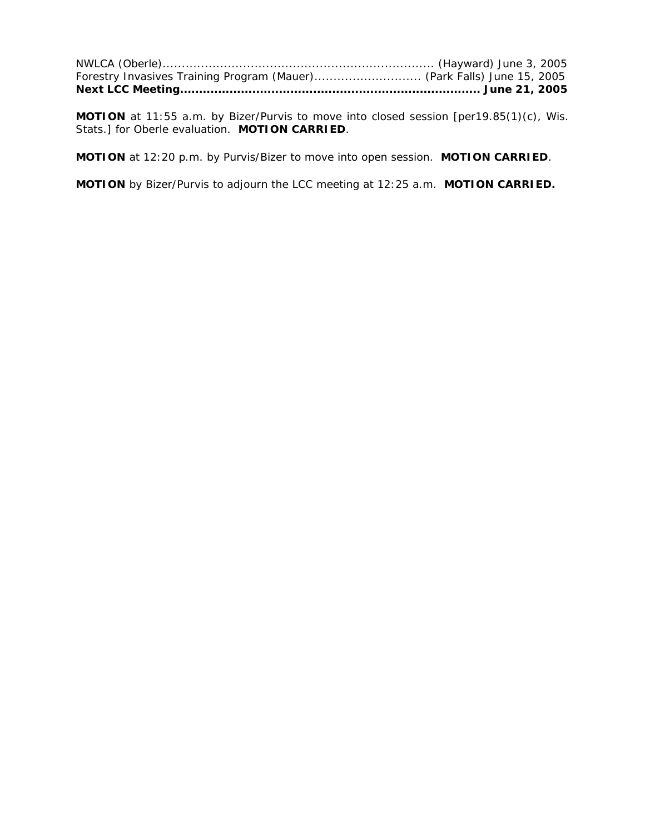| Forestry Invasives Training Program (Mauer) (Park Falls) June 15, 2005 |  |
|------------------------------------------------------------------------|--|
|                                                                        |  |

**MOTION** at 11:55 a.m. by Bizer/Purvis to move into closed session [per19.85(1)(c), Wis. Stats.] for Oberle evaluation. **MOTION CARRIED**.

**MOTION** at 12:20 p.m. by Purvis/Bizer to move into open session. **MOTION CARRIED**.

**MOTION** by Bizer/Purvis to adjourn the LCC meeting at 12:25 a.m. **MOTION CARRIED.**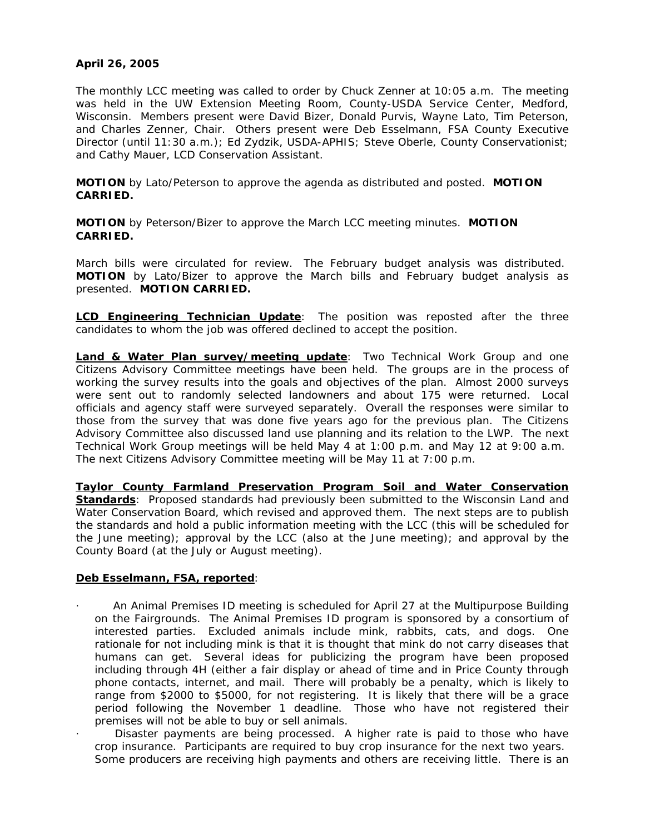# **April 26, 2005**

The monthly LCC meeting was called to order by Chuck Zenner at 10:05 a.m. The meeting was held in the UW Extension Meeting Room, County-USDA Service Center, Medford, Wisconsin. Members present were David Bizer, Donald Purvis, Wayne Lato, Tim Peterson, and Charles Zenner, Chair. Others present were Deb Esselmann, FSA County Executive Director (until 11:30 a.m.); Ed Zydzik, USDA-APHIS; Steve Oberle, County Conservationist; and Cathy Mauer, LCD Conservation Assistant.

**MOTION** by Lato/Peterson to approve the agenda as distributed and posted. **MOTION CARRIED.**

**MOTION** by Peterson/Bizer to approve the March LCC meeting minutes. **MOTION CARRIED.**

March bills were circulated for review. The February budget analysis was distributed. **MOTION** by Lato/Bizer to approve the March bills and February budget analysis as presented. **MOTION CARRIED.**

**LCD Engineering Technician Update**: The position was reposted after the three candidates to whom the job was offered declined to accept the position.

**Land & Water Plan survey/meeting update**: Two Technical Work Group and one Citizens Advisory Committee meetings have been held. The groups are in the process of working the survey results into the goals and objectives of the plan. Almost 2000 surveys were sent out to randomly selected landowners and about 175 were returned. Local officials and agency staff were surveyed separately. Overall the responses were similar to those from the survey that was done five years ago for the previous plan. The Citizens Advisory Committee also discussed land use planning and its relation to the LWP. The next Technical Work Group meetings will be held May 4 at 1:00 p.m. and May 12 at 9:00 a.m. The next Citizens Advisory Committee meeting will be May 11 at 7:00 p.m.

**Taylor County Farmland Preservation Program Soil and Water Conservation Standards**: Proposed standards had previously been submitted to the Wisconsin Land and Water Conservation Board, which revised and approved them. The next steps are to publish the standards and hold a public information meeting with the LCC (this will be scheduled for the June meeting); approval by the LCC (also at the June meeting); and approval by the County Board (at the July or August meeting).

# **Deb Esselmann, FSA, reported**:

- · An Animal Premises ID meeting is scheduled for April 27 at the Multipurpose Building on the Fairgrounds. The Animal Premises ID program is sponsored by a consortium of interested parties. Excluded animals include mink, rabbits, cats, and dogs. One rationale for not including mink is that it is thought that mink do not carry diseases that humans can get. Several ideas for publicizing the program have been proposed including through 4H (either a fair display or ahead of time and in Price County through phone contacts, internet, and mail. There will probably be a penalty, which is likely to range from \$2000 to \$5000, for not registering. It is likely that there will be a grace period following the November 1 deadline. Those who have not registered their premises will not be able to buy or sell animals.
- Disaster payments are being processed. A higher rate is paid to those who have crop insurance. Participants are required to buy crop insurance for the next two years. Some producers are receiving high payments and others are receiving little. There is an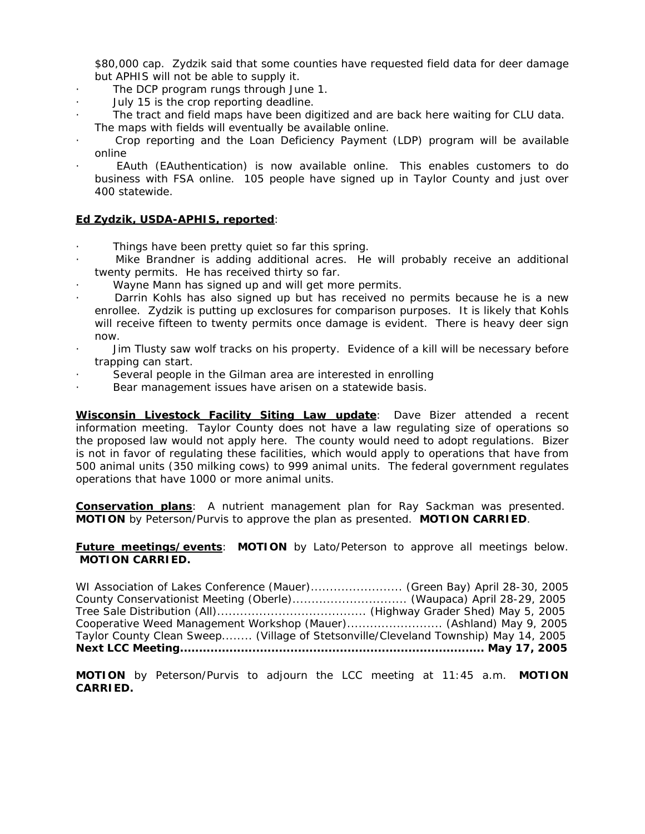\$80,000 cap. Zydzik said that some counties have requested field data for deer damage but APHIS will not be able to supply it.

- The DCP program rungs through June 1.
- · July 15 is the crop reporting deadline.
- The tract and field maps have been digitized and are back here waiting for CLU data. The maps with fields will eventually be available online.
- · Crop reporting and the Loan Deficiency Payment (LDP) program will be available online
- · EAuth (EAuthentication) is now available online. This enables customers to do business with FSA online. 105 people have signed up in Taylor County and just over 400 statewide.

# **Ed Zydzik, USDA-APHIS, reported**:

- Things have been pretty quiet so far this spring.
- Mike Brandner is adding additional acres. He will probably receive an additional twenty permits. He has received thirty so far.
- Wayne Mann has signed up and will get more permits.
- Darrin Kohls has also signed up but has received no permits because he is a new enrollee. Zydzik is putting up exclosures for comparison purposes. It is likely that Kohls will receive fifteen to twenty permits once damage is evident. There is heavy deer sign now.
- · Jim Tlusty saw wolf tracks on his property. Evidence of a kill will be necessary before trapping can start.
- Several people in the Gilman area are interested in enrolling
- Bear management issues have arisen on a statewide basis.

**Wisconsin Livestock Facility Siting Law update**: Dave Bizer attended a recent information meeting. Taylor County does not have a law regulating size of operations so the proposed law would not apply here. The county would need to adopt regulations. Bizer is not in favor of regulating these facilities, which would apply to operations that have from 500 animal units (350 milking cows) to 999 animal units. The federal government regulates operations that have 1000 or more animal units.

**Conservation plans**: A nutrient management plan for Ray Sackman was presented. **MOTION** by Peterson/Purvis to approve the plan as presented. **MOTION CARRIED**.

**Future meetings/events**: **MOTION** by Lato/Peterson to approve all meetings below. **MOTION CARRIED.**

| Taylor County Clean Sweep (Village of Stetsonville/Cleveland Township) May 14, 2005 |  |
|-------------------------------------------------------------------------------------|--|
| Cooperative Weed Management Workshop (Mauer) (Ashland) May 9, 2005                  |  |
|                                                                                     |  |
|                                                                                     |  |
| County Conservationist Meeting (Oberle) (Waupaca) April 28-29, 2005                 |  |
| WI Association of Lakes Conference (Mauer) (Green Bay) April 28-30, 2005            |  |
|                                                                                     |  |

**MOTION** by Peterson/Purvis to adjourn the LCC meeting at 11:45 a.m. **MOTION CARRIED.**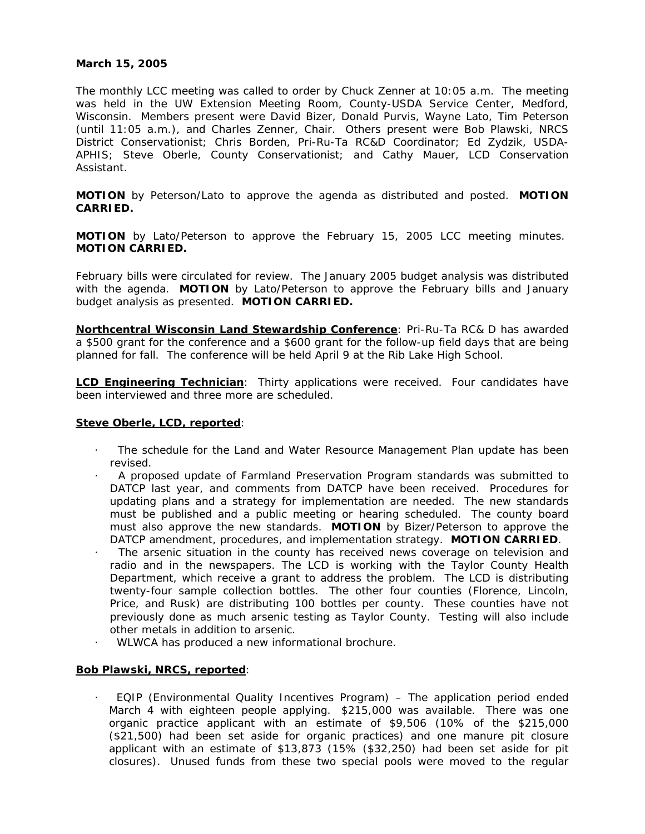## **March 15, 2005**

The monthly LCC meeting was called to order by Chuck Zenner at 10:05 a.m. The meeting was held in the UW Extension Meeting Room, County-USDA Service Center, Medford, Wisconsin. Members present were David Bizer, Donald Purvis, Wayne Lato, Tim Peterson (until 11:05 a.m.), and Charles Zenner, Chair. Others present were Bob Plawski, NRCS District Conservationist; Chris Borden, Pri-Ru-Ta RC&D Coordinator; Ed Zydzik, USDA-APHIS; Steve Oberle, County Conservationist; and Cathy Mauer, LCD Conservation Assistant.

**MOTION** by Peterson/Lato to approve the agenda as distributed and posted. **MOTION CARRIED.**

**MOTION** by Lato/Peterson to approve the February 15, 2005 LCC meeting minutes. **MOTION CARRIED.**

February bills were circulated for review. The January 2005 budget analysis was distributed with the agenda. **MOTION** by Lato/Peterson to approve the February bills and January budget analysis as presented. **MOTION CARRIED.**

**Northcentral Wisconsin Land Stewardship Conference**: Pri-Ru-Ta RC& D has awarded a \$500 grant for the conference and a \$600 grant for the follow-up field days that are being planned for fall. The conference will be held April 9 at the Rib Lake High School.

**LCD Engineering Technician**: Thirty applications were received. Four candidates have been interviewed and three more are scheduled.

### **Steve Oberle, LCD, reported**:

- The schedule for the Land and Water Resource Management Plan update has been revised.
- · A proposed update of Farmland Preservation Program standards was submitted to DATCP last year, and comments from DATCP have been received. Procedures for updating plans and a strategy for implementation are needed. The new standards must be published and a public meeting or hearing scheduled. The county board must also approve the new standards. **MOTION** by Bizer/Peterson to approve the DATCP amendment, procedures, and implementation strategy. **MOTION CARRIED**.
- The arsenic situation in the county has received news coverage on television and radio and in the newspapers. The LCD is working with the Taylor County Health Department, which receive a grant to address the problem. The LCD is distributing twenty-four sample collection bottles. The other four counties (Florence, Lincoln, Price, and Rusk) are distributing 100 bottles per county. These counties have not previously done as much arsenic testing as Taylor County. Testing will also include other metals in addition to arsenic.
	- · WLWCA has produced a new informational brochure.

### **Bob Plawski, NRCS, reported**:

· EQIP (Environmental Quality Incentives Program) – The application period ended March 4 with eighteen people applying. \$215,000 was available. There was one organic practice applicant with an estimate of \$9,506 (10% of the \$215,000 (\$21,500) had been set aside for organic practices) and one manure pit closure applicant with an estimate of \$13,873 (15% (\$32,250) had been set aside for pit closures). Unused funds from these two special pools were moved to the regular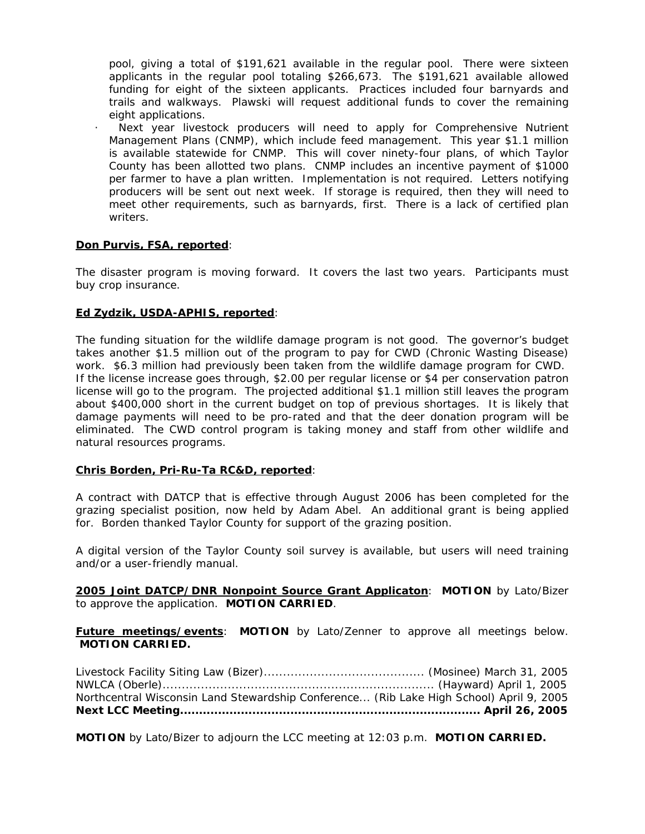pool, giving a total of \$191,621 available in the regular pool. There were sixteen applicants in the regular pool totaling \$266,673. The \$191,621 available allowed funding for eight of the sixteen applicants. Practices included four barnyards and trails and walkways. Plawski will request additional funds to cover the remaining eight applications.

Next year livestock producers will need to apply for Comprehensive Nutrient Management Plans (CNMP), which include feed management. This year \$1.1 million is available statewide for CNMP. This will cover ninety-four plans, of which Taylor County has been allotted two plans. CNMP includes an incentive payment of \$1000 per farmer to have a plan written. Implementation is not required. Letters notifying producers will be sent out next week. If storage is required, then they will need to meet other requirements, such as barnyards, first. There is a lack of certified plan writers.

## **Don Purvis, FSA, reported**:

The disaster program is moving forward. It covers the last two years. Participants must buy crop insurance.

## **Ed Zydzik, USDA-APHIS, reported**:

The funding situation for the wildlife damage program is not good. The governor's budget takes another \$1.5 million out of the program to pay for CWD (Chronic Wasting Disease) work. \$6.3 million had previously been taken from the wildlife damage program for CWD. If the license increase goes through, \$2.00 per regular license or \$4 per conservation patron license will go to the program. The projected additional \$1.1 million still leaves the program about \$400,000 short in the current budget on top of previous shortages. It is likely that damage payments will need to be pro-rated and that the deer donation program will be eliminated. The CWD control program is taking money and staff from other wildlife and natural resources programs.

### **Chris Borden, Pri-Ru-Ta RC&D, reported**:

A contract with DATCP that is effective through August 2006 has been completed for the grazing specialist position, now held by Adam Abel. An additional grant is being applied for. Borden thanked Taylor County for support of the grazing position.

A digital version of the Taylor County soil survey is available, but users will need training and/or a user-friendly manual.

**2005 Joint DATCP/DNR Nonpoint Source Grant Applicaton**: **MOTION** by Lato/Bizer to approve the application. **MOTION CARRIED**.

**Future meetings/events**: **MOTION** by Lato/Zenner to approve all meetings below. **MOTION CARRIED.**

| Northcentral Wisconsin Land Stewardship Conference (Rib Lake High School) April 9, 2005 |  |
|-----------------------------------------------------------------------------------------|--|
|                                                                                         |  |

**MOTION** by Lato/Bizer to adjourn the LCC meeting at 12:03 p.m. **MOTION CARRIED.**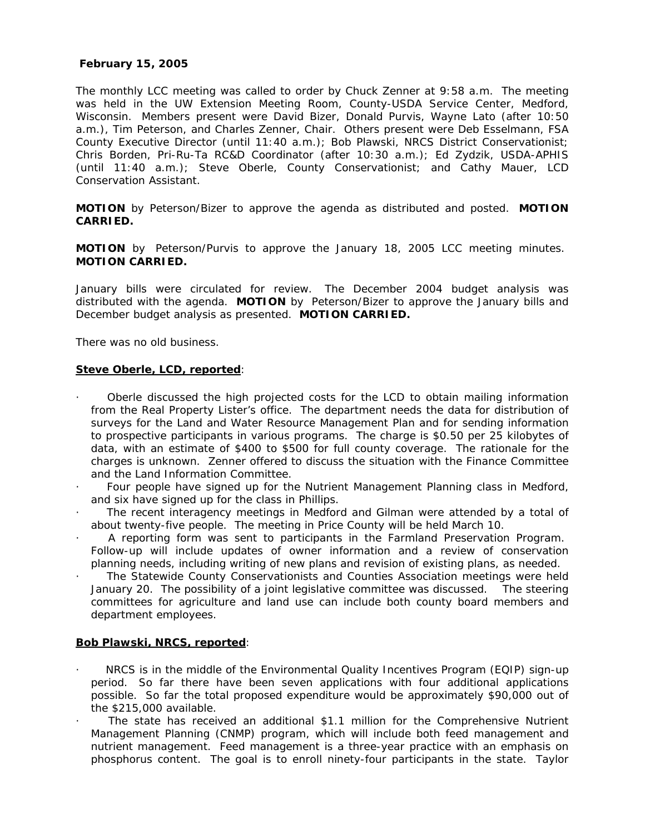# **February 15, 2005**

The monthly LCC meeting was called to order by Chuck Zenner at 9:58 a.m. The meeting was held in the UW Extension Meeting Room, County-USDA Service Center, Medford, Wisconsin. Members present were David Bizer, Donald Purvis, Wayne Lato (after 10:50 a.m.), Tim Peterson, and Charles Zenner, Chair. Others present were Deb Esselmann, FSA County Executive Director (until 11:40 a.m.); Bob Plawski, NRCS District Conservationist; Chris Borden, Pri-Ru-Ta RC&D Coordinator (after 10:30 a.m.); Ed Zydzik, USDA-APHIS (until 11:40 a.m.); Steve Oberle, County Conservationist; and Cathy Mauer, LCD Conservation Assistant.

**MOTION** by Peterson/Bizer to approve the agenda as distributed and posted. **MOTION CARRIED.**

**MOTION** by Peterson/Purvis to approve the January 18, 2005 LCC meeting minutes. **MOTION CARRIED.**

January bills were circulated for review. The December 2004 budget analysis was distributed with the agenda. **MOTION** by Peterson/Bizer to approve the January bills and December budget analysis as presented. **MOTION CARRIED.**

There was no old business.

## **Steve Oberle, LCD, reported**:

- · Oberle discussed the high projected costs for the LCD to obtain mailing information from the Real Property Lister's office. The department needs the data for distribution of surveys for the Land and Water Resource Management Plan and for sending information to prospective participants in various programs. The charge is \$0.50 per 25 kilobytes of data, with an estimate of \$400 to \$500 for full county coverage. The rationale for the charges is unknown. Zenner offered to discuss the situation with the Finance Committee and the Land Information Committee.
- Four people have signed up for the Nutrient Management Planning class in Medford, and six have signed up for the class in Phillips.
- The recent interagency meetings in Medford and Gilman were attended by a total of about twenty-five people. The meeting in Price County will be held March 10.
- · A reporting form was sent to participants in the Farmland Preservation Program. Follow-up will include updates of owner information and a review of conservation planning needs, including writing of new plans and revision of existing plans, as needed.
- The Statewide County Conservationists and Counties Association meetings were held January 20. The possibility of a joint legislative committee was discussed. The steering committees for agriculture and land use can include both county board members and department employees.

### **Bob Plawski, NRCS, reported**:

- NRCS is in the middle of the Environmental Quality Incentives Program (EQIP) sign-up period. So far there have been seven applications with four additional applications possible. So far the total proposed expenditure would be approximately \$90,000 out of the \$215,000 available.
- The state has received an additional \$1.1 million for the Comprehensive Nutrient Management Planning (CNMP) program, which will include both feed management and nutrient management. Feed management is a three-year practice with an emphasis on phosphorus content. The goal is to enroll ninety-four participants in the state. Taylor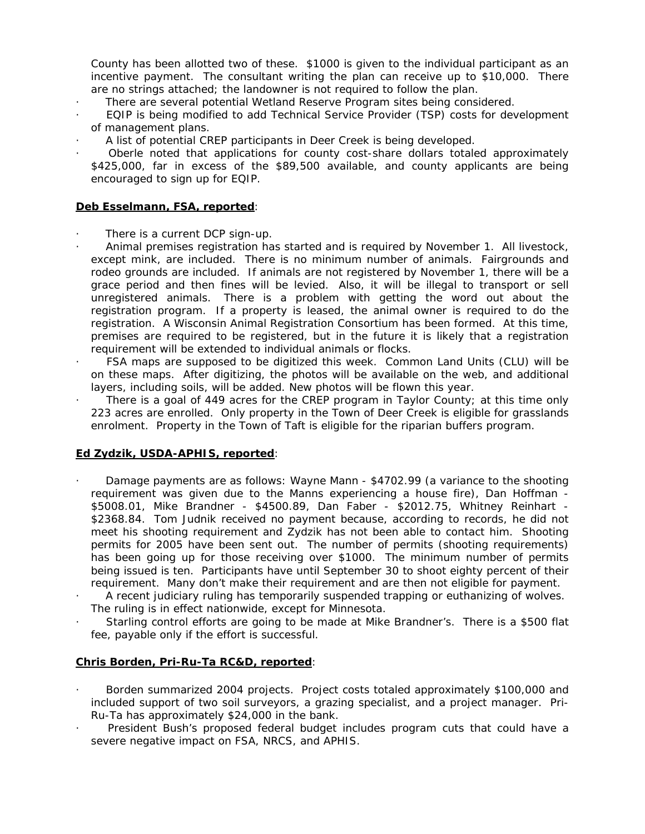County has been allotted two of these. \$1000 is given to the individual participant as an incentive payment. The consultant writing the plan can receive up to \$10,000. There are no strings attached; the landowner is not required to follow the plan.

- · There are several potential Wetland Reserve Program sites being considered.
- EQIP is being modified to add Technical Service Provider (TSP) costs for development of management plans.
- · A list of potential CREP participants in Deer Creek is being developed.
- Oberle noted that applications for county cost-share dollars totaled approximately \$425,000, far in excess of the \$89,500 available, and county applicants are being encouraged to sign up for EQIP.

# **Deb Esselmann, FSA, reported**:

- There is a current DCP sign-up.
- · Animal premises registration has started and is required by November 1. All livestock, except mink, are included. There is no minimum number of animals. Fairgrounds and rodeo grounds are included. If animals are not registered by November 1, there will be a grace period and then fines will be levied. Also, it will be illegal to transport or sell unregistered animals. There is a problem with getting the word out about the registration program. If a property is leased, the animal owner is required to do the registration. A Wisconsin Animal Registration Consortium has been formed. At this time, premises are required to be registered, but in the future it is likely that a registration requirement will be extended to individual animals or flocks.
- · FSA maps are supposed to be digitized this week. Common Land Units (CLU) will be on these maps. After digitizing, the photos will be available on the web, and additional layers, including soils, will be added. New photos will be flown this year.
- There is a goal of 449 acres for the CREP program in Taylor County; at this time only 223 acres are enrolled. Only property in the Town of Deer Creek is eligible for grasslands enrolment. Property in the Town of Taft is eligible for the riparian buffers program.

# **Ed Zydzik, USDA-APHIS, reported**:

- · Damage payments are as follows: Wayne Mann \$4702.99 (a variance to the shooting requirement was given due to the Manns experiencing a house fire), Dan Hoffman - \$5008.01, Mike Brandner - \$4500.89, Dan Faber - \$2012.75, Whitney Reinhart - \$2368.84. Tom Judnik received no payment because, according to records, he did not meet his shooting requirement and Zydzik has not been able to contact him. Shooting permits for 2005 have been sent out. The number of permits (shooting requirements) has been going up for those receiving over \$1000. The minimum number of permits being issued is ten. Participants have until September 30 to shoot eighty percent of their requirement. Many don't make their requirement and are then not eligible for payment.
- A recent judiciary ruling has temporarily suspended trapping or euthanizing of wolves. The ruling is in effect nationwide, except for Minnesota.
- Starling control efforts are going to be made at Mike Brandner's. There is a \$500 flat fee, payable only if the effort is successful.

### **Chris Borden, Pri-Ru-Ta RC&D, reported**:

- Borden summarized 2004 projects. Project costs totaled approximately \$100,000 and included support of two soil surveyors, a grazing specialist, and a project manager. Pri-Ru-Ta has approximately \$24,000 in the bank.
- President Bush's proposed federal budget includes program cuts that could have a severe negative impact on FSA, NRCS, and APHIS.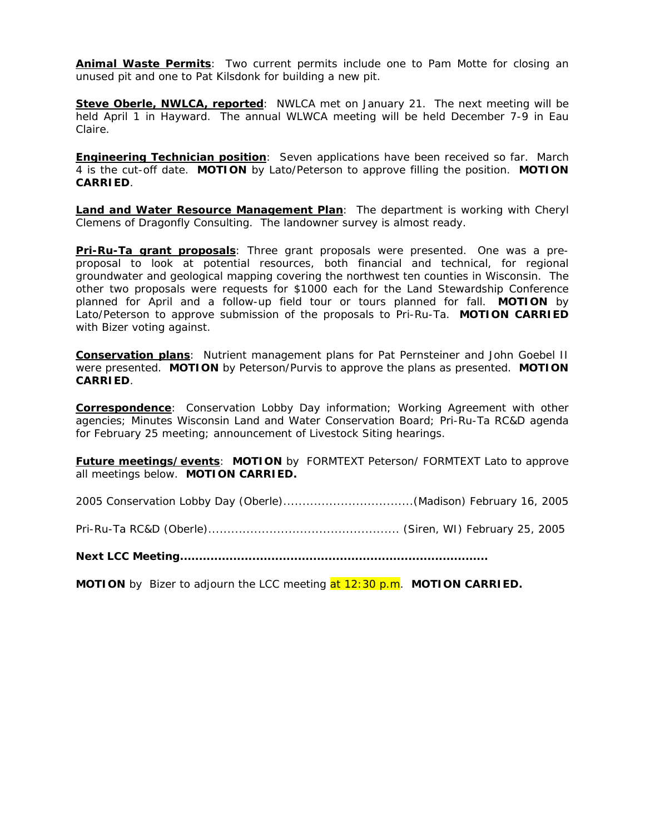**Animal Waste Permits**: Two current permits include one to Pam Motte for closing an unused pit and one to Pat Kilsdonk for building a new pit.

**Steve Oberle, NWLCA, reported:** NWLCA met on January 21. The next meeting will be held April 1 in Hayward. The annual WLWCA meeting will be held December 7-9 in Eau Claire.

**Engineering Technician position**: Seven applications have been received so far. March 4 is the cut-off date. **MOTION** by Lato/Peterson to approve filling the position. **MOTION CARRIED**.

**Land and Water Resource Management Plan**: The department is working with Cheryl Clemens of Dragonfly Consulting. The landowner survey is almost ready.

**Pri-Ru-Ta grant proposals**: Three grant proposals were presented. One was a preproposal to look at potential resources, both financial and technical, for regional groundwater and geological mapping covering the northwest ten counties in Wisconsin. The other two proposals were requests for \$1000 each for the Land Stewardship Conference planned for April and a follow-up field tour or tours planned for fall. **MOTION** by Lato/Peterson to approve submission of the proposals to Pri-Ru-Ta. **MOTION CARRIED** with Bizer voting against.

**Conservation plans**: Nutrient management plans for Pat Pernsteiner and John Goebel II were presented. **MOTION** by Peterson/Purvis to approve the plans as presented. **MOTION CARRIED**.

**Correspondence**: Conservation Lobby Day information; Working Agreement with other agencies; Minutes Wisconsin Land and Water Conservation Board; Pri-Ru-Ta RC&D agenda for February 25 meeting; announcement of Livestock Siting hearings.

**Future meetings/events**: **MOTION** by FORMTEXT Peterson/ FORMTEXT Lato to approve all meetings below. **MOTION CARRIED.**

2005 Conservation Lobby Day (Oberle)..................................(Madison) February 16, 2005

Pri-Ru-Ta RC&D (Oberle).................................................. (Siren, WI) February 25, 2005

**Next LCC Meeting.................................................................................**

**MOTION** by Bizer to adjourn the LCC meeting at 12:30 p.m. **MOTION CARRIED.**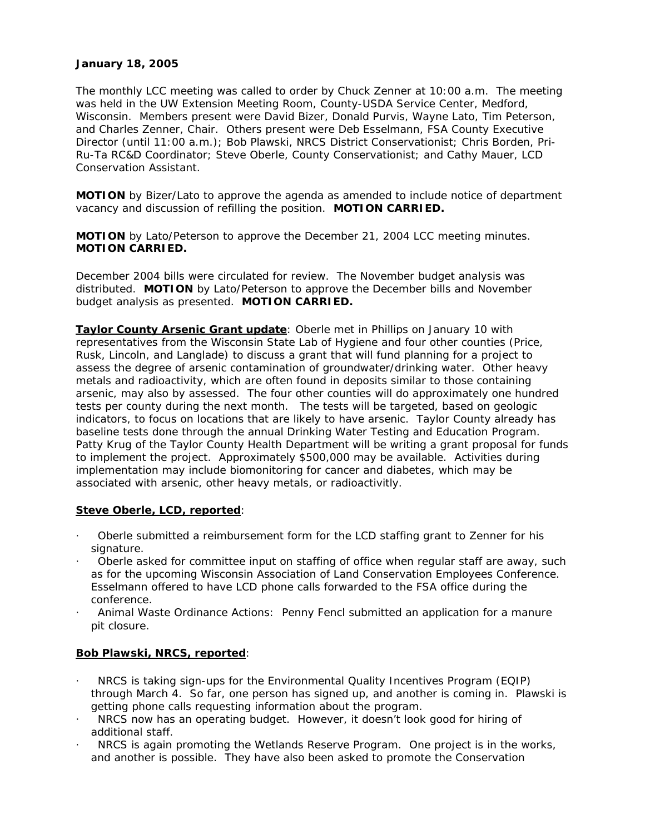# **January 18, 2005**

The monthly LCC meeting was called to order by Chuck Zenner at 10:00 a.m. The meeting was held in the UW Extension Meeting Room, County-USDA Service Center, Medford, Wisconsin. Members present were David Bizer, Donald Purvis, Wayne Lato, Tim Peterson, and Charles Zenner, Chair. Others present were Deb Esselmann, FSA County Executive Director (until 11:00 a.m.); Bob Plawski, NRCS District Conservationist; Chris Borden, Pri-Ru-Ta RC&D Coordinator; Steve Oberle, County Conservationist; and Cathy Mauer, LCD Conservation Assistant.

**MOTION** by Bizer/Lato to approve the agenda as amended to include notice of department vacancy and discussion of refilling the position. **MOTION CARRIED.**

**MOTION** by Lato/Peterson to approve the December 21, 2004 LCC meeting minutes. **MOTION CARRIED.**

December 2004 bills were circulated for review. The November budget analysis was distributed. **MOTION** by Lato/Peterson to approve the December bills and November budget analysis as presented. **MOTION CARRIED.**

**Taylor County Arsenic Grant update**: Oberle met in Phillips on January 10 with representatives from the Wisconsin State Lab of Hygiene and four other counties (Price, Rusk, Lincoln, and Langlade) to discuss a grant that will fund planning for a project to assess the degree of arsenic contamination of groundwater/drinking water. Other heavy metals and radioactivity, which are often found in deposits similar to those containing arsenic, may also by assessed. The four other counties will do approximately one hundred tests per county during the next month. The tests will be targeted, based on geologic indicators, to focus on locations that are likely to have arsenic. Taylor County already has baseline tests done through the annual Drinking Water Testing and Education Program. Patty Krug of the Taylor County Health Department will be writing a grant proposal for funds to implement the project. Approximately \$500,000 may be available. Activities during implementation may include biomonitoring for cancer and diabetes, which may be associated with arsenic, other heavy metals, or radioactivitly.

# **Steve Oberle, LCD, reported**:

- · Oberle submitted a reimbursement form for the LCD staffing grant to Zenner for his signature.
- · Oberle asked for committee input on staffing of office when regular staff are away, such as for the upcoming Wisconsin Association of Land Conservation Employees Conference. Esselmann offered to have LCD phone calls forwarded to the FSA office during the conference.
- · Animal Waste Ordinance Actions: Penny Fencl submitted an application for a manure pit closure.

# **Bob Plawski, NRCS, reported**:

- · NRCS is taking sign-ups for the Environmental Quality Incentives Program (EQIP) through March 4. So far, one person has signed up, and another is coming in. Plawski is getting phone calls requesting information about the program.
- · NRCS now has an operating budget. However, it doesn't look good for hiring of additional staff.
- NRCS is again promoting the Wetlands Reserve Program. One project is in the works, and another is possible. They have also been asked to promote the Conservation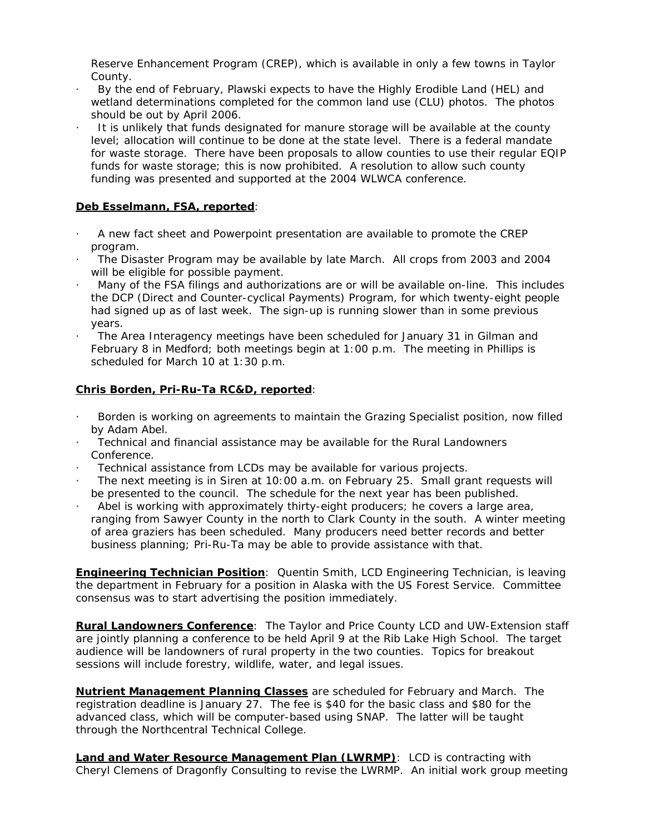Reserve Enhancement Program (CREP), which is available in only a few towns in Taylor County.

- · By the end of February, Plawski expects to have the Highly Erodible Land (HEL) and wetland determinations completed for the common land use (CLU) photos. The photos should be out by April 2006.
- · It is unlikely that funds designated for manure storage will be available at the county level; allocation will continue to be done at the state level. There is a federal mandate for waste storage. There have been proposals to allow counties to use their regular EQIP funds for waste storage; this is now prohibited. A resolution to allow such county funding was presented and supported at the 2004 WLWCA conference.

# **Deb Esselmann, FSA, reported**:

- · A new fact sheet and Powerpoint presentation are available to promote the CREP program.
- · The Disaster Program may be available by late March. All crops from 2003 and 2004 will be eligible for possible payment.
- · Many of the FSA filings and authorizations are or will be available on-line. This includes the DCP (Direct and Counter-cyclical Payments) Program, for which twenty-eight people had signed up as of last week. The sign-up is running slower than in some previous years.
- The Area Interagency meetings have been scheduled for January 31 in Gilman and February 8 in Medford; both meetings begin at 1:00 p.m. The meeting in Phillips is scheduled for March 10 at 1:30 p.m.

# **Chris Borden, Pri-Ru-Ta RC&D, reported**:

- Borden is working on agreements to maintain the Grazing Specialist position, now filled by Adam Abel.
- · Technical and financial assistance may be available for the Rural Landowners Conference.
- Technical assistance from LCDs may be available for various projects.
- The next meeting is in Siren at 10:00 a.m. on February 25. Small grant requests will be presented to the council. The schedule for the next year has been published.
- Abel is working with approximately thirty-eight producers; he covers a large area, ranging from Sawyer County in the north to Clark County in the south. A winter meeting of area graziers has been scheduled. Many producers need better records and better business planning; Pri-Ru-Ta may be able to provide assistance with that.

**Engineering Technician Position**: Quentin Smith, LCD Engineering Technician, is leaving the department in February for a position in Alaska with the US Forest Service. Committee consensus was to start advertising the position immediately.

**Rural Landowners Conference**: The Taylor and Price County LCD and UW-Extension staff are jointly planning a conference to be held April 9 at the Rib Lake High School. The target audience will be landowners of rural property in the two counties. Topics for breakout sessions will include forestry, wildlife, water, and legal issues.

**Nutrient Management Planning Classes** are scheduled for February and March. The registration deadline is January 27. The fee is \$40 for the basic class and \$80 for the advanced class, which will be computer-based using SNAP. The latter will be taught through the Northcentral Technical College.

**Land and Water Resource Management Plan (LWRMP)**: LCD is contracting with Cheryl Clemens of Dragonfly Consulting to revise the LWRMP. An initial work group meeting